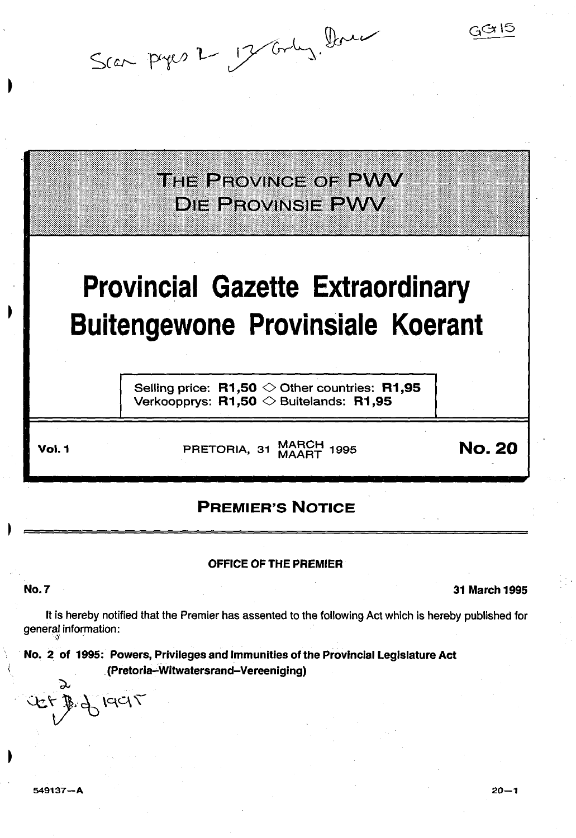$GCH5$ 3G15

Scan pages 2- 13 Coday, Donce

THE PROVINGE OF PWV **DIE PROVINSIE PWV** 

# **Provincial Gazette Extraordinary Buitengewone Provinsiale Koerant**

Selling price:  $R1,50 \diamond 0$ ther countries: R1,95 Verkoopprys:  $R1,50 \diamondsuit$  Buitelands: R1,95

Vol.1

PRETORIA, 31 MARCH 1995

**No.20** 

# PREMIER'S NOTICE

# OFFICE OF THE PREMIER

No.7

31 March 1995

It is hereby notified that the Premier has assented to the following Act which is hereby published for general information:

· No. 2 of 1995: Powers, Privileges and Immunities of the Provincial Legislature Act . (Pretori&-"Witwatersrand-Vereeniglng)

JEF B. PIGGIT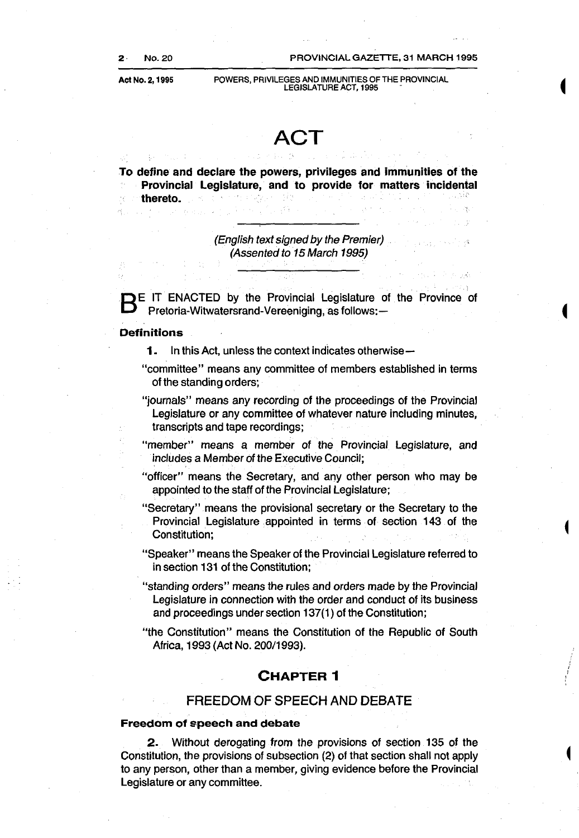2, No.20 PROVINCIAL GAZETTE, 31 MARCH 1995

Act No.2, 1995 POWERS, PRIVILEGES AND IMMUNITIES OF THE PROVINCIAL LEGISLATURE ACT, 1995 ·

# **ACT**

To define and declare the powers, privileges and immunities of the Provincial Legislature, and to provide for matters incidental thereto.

> (English text signed by the Premier) (Assented to 15 March 1995)

 $\blacktriangleright$  ENACTED by the Provincial Legislature of the Province of Pretoria-Witwatersrand-Vereeniging, as follows:-

#### **Definitions**

- **1.** In this Act, unless the context indicates otherwise-
- "committee" means any committee of members established in terms of the standing orders;
- "journals" means any recording of the proceedings of the Provincial Legislature or any committee of whatever nature including minutes, transcripts and tape recordings;
- "member" means a member of the Provincial Legislature, and includes a Member of the Executive Council;
- "officer" means the Secretary, and any other person who may be appointed to the staff of the Provincial Legislature;
- "Secretary" means the provisional secretary or the Secretary to the Provincial Legislature appointed in terms of section 143 of the Constitution;
- "Speaker'' means the Speaker of the Provincial Legislature referred to in section 131 of the Constitution;
- "standing orders" means the rules and orders made by the Provincial Legislature in connection with the order and conduct of its business and proceedings under section 137(1) of the Constitution;
- "the Constitution" means the Constitution of the Republic of South Africa, 1993 (Act No. 200/1993).

# **CHAPTER 1**

# FREEDOM OF SPEECH AND DEBATE

# Freedom of speech and debate

2. Without derogating from the provisions of section 135 of the Constitution, the provisions of subsection (2) of that section shall not apply to any person, other than a member, giving evidence before the Provincial Legislature or any committee.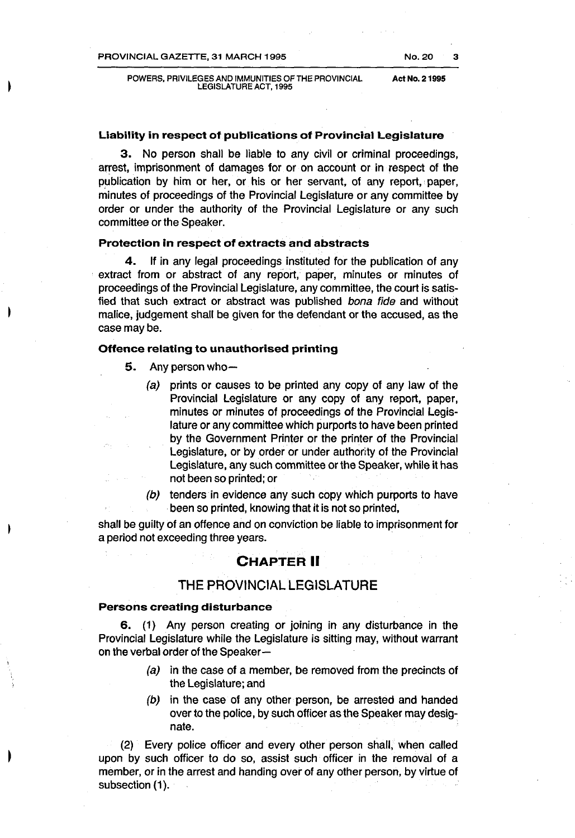#### POWERS, PRIVILEGES AND IMMUNITIES OF THE PROVINCIAL LEGISLATURE ACT, 1995

# Liability in respect of publications of Provincial Legislature

3. No person shall be liable to any civil or criminal proceedings, arrest, imprisonment of damages for or on account or in respect of the publication by him or her, or his or her servant, of any report, paper, minutes of proceedings of the Provincial Legislature or any committee by order or under the authority of the Provincial Legislature or any such committee or the Speaker.

# Protection in respect of extracts and abstracts

If in any legal proceedings instituted for the publication of any extract from or abstract of any report, paper, minutes or minutes of proceedings of the Provincial Legislature, any committee, the court is satisfied that such extract or abstract was published bona fide and without malice, judgement shall be given for the defendant or the accused, as the case maybe.

# Offence relating to unauthorised printing

- 5. Any person who
	- $fa)$  prints or causes to be printed any copy of any law of the Provincial Legislature or any copy of any report, paper, minutes or minutes of proceedings of the Provincial Legislature or any committee which purports to have been printed by the Government Printer or the printer of the Provincial Legislature, or by order or under authority of the Provincial Legislature, any such committee or the Speaker, while it has not been so printed; or
	- (b) tenders in evidence any such copy which purports to have ·been so printed, knowing that it is not so printed,

shall be guilty of an offence and on conviction be liable to imprisonment for a period not exceeding three years.

# **CHAPTER II**

# THE PROVINCIAL LEGISLATURE

#### Persons creating disturbance

6. (1) Any person creating or joining in any disturbance in the Provincial Legislature while the Legislature is sitting may, without warrant on the verbal order of the Speaker-

- $fa)$  in the case of a member, be removed from the precincts of the Legislature; and
- (b) in the case of any other person, be arrested and handed over to the police, by such officer as the Speaker may designate.

(2) Every police officer and every other person shall, when called upon by such officer to do so, assist such officer in the removal of a member, or in the arrest and handing over of any other person, by virtue of subsection (1).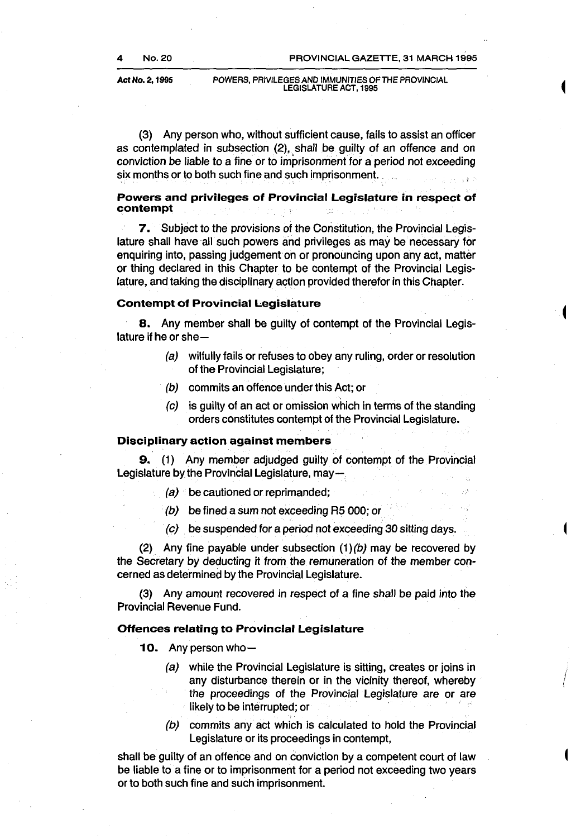Act No.2, 1995 POWERS, PRIVILEGES AND IMMUNITIES OF THE PROVINCIAL LEGISLATURE ACT, 1995

(3) Any person who, without sufficient cause, fails to assist an officer as contemplated in subsection (2), shall be guilty of an offence and on conviction be liable to a fine or to imprisonment for a period not exceeding six months or to both such fine and such imprisonment.

# **Powers and privileges of Provincial Legislature in respect of contempt**

**7.** Subject to the provisions of the Constitution, the Provincial Legislature shall have all such powers and privileges as may be necessary for enquiring into, passing judgement on or pronouncing upon any act, matter or thing declared in this Chapter to be contempt of the Provincial Legislature, and taking the disciplinary action provided therefor in this Chapter.

# **Contempt of Provincial Legislature**

**8.** Any member shall be guilty of contempt of the Provincial Legislature if he or she $-$ 

- (a) wilfully fails or refuses to obey any ruling, order or resolution of the Provincial Legislature;
- (b) commits an offence under this Act; or
- (c) is guilty of an act or omission which in terms of the standing orders constitutes contempt of the Provincial Legislature.

#### **Disciplinary action against members**

**9.** (1) Any member adjudged guilty of contempt of the Provincial Legislature by the Provincial Legislature, may-

- $(a)$  be cautioned or reprimanded;
- (b) be fined a sum not exceeding AS 000; or
- (c) be suspended for a period not exceeding 30 sitting days.

(2) Any fine payable under subsection  $(1)(b)$  may be recovered by the Secretary by deducting it from the remuneration of the member concerned as determined by the Provincial Legislature.

(3) Any amount recovered in respect of a fine shall be paid into the Provincial Revenue Fund.

# **Offences relating to Provincial Legislature**

- **10.** Any person who-
	- (a) while the Provincial Legislature is sitting, creates or joins in any disturbance therein or in the vicinity thereof, whereby the proceedings of the Provincial Legislature are or are likely to be interrupted; or

I :

(b) commits any act which is calculated to hold the Provincial Legislature or its proceedings in contempt,

shall be guilty of an offence and on conviction by a competent court of law be liable to a fine or to imprisonment for a period not exceeding two years or to both such fine and such imprisonment.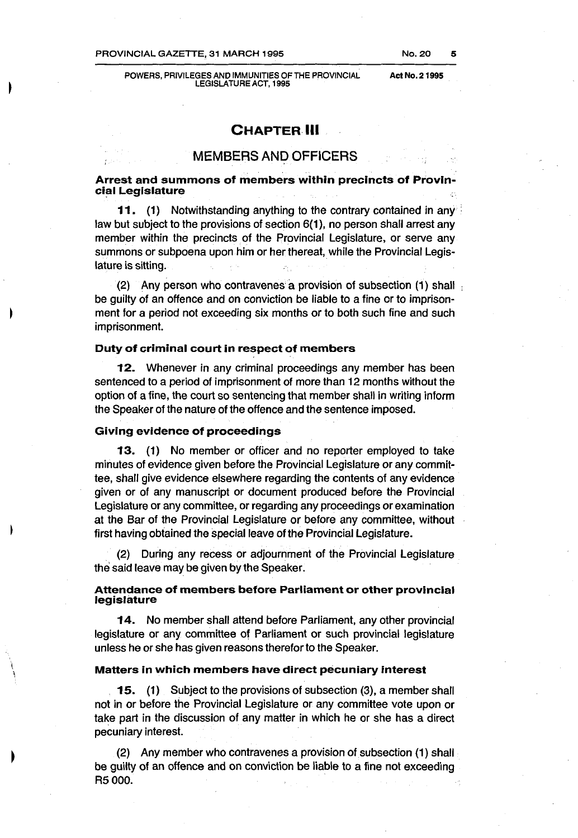POWERS, PRIVILEGES AND IMMUNITIES OF THE PROVINCIAL LEGISLATURE ACT, 1995

Act No. 21995

# **CHAPTER Ill**

# MEMBERS AND OFFICERS

#### Arrest and summons of members within precincts of Provlncial Legislature

11. (1) Notwithstanding anything to the contrary contained in any law but subject to the provisions of section 6(1), no person shall arrest any member within the precincts of the Provincial Legislature, or serve any summons or subpoena upon him or her thereat, while the Provincial Legislature is sitting.

(2) Any person who contravenes a provision of subsection (1) shall be guilty of an offence and on conviction be liable to a fine or to imprisonment for a period not exceeding six months or to both such fine and such imprisonment.

#### Duty of criminal court in respect of members

**12.** Whenever in any criminal proceedings any member has been sentenced to a period of imprisonment of more than 12 months without the option of a fine, the court so sentencing that member shall in writing inform the Speaker of the nature of the offence and the sentence imposed.

#### Giving evidence of proceedings

 $\mathbf{I}$  $\mathfrak{h}$ 

13. (1) No member or officer and no reporter employed to take minutes of evidence given before the Provincial Legislature or any committee, shall give evidence elsewhere regarding the contents of any evidence given or of any manuscript or document produced before the Provincial Legislature or any committee, or regarding any proceedings or examination at the Bar of the Provincial Legislature or before any committee, without first having obtained the special leave of the Provincial Legislature.

(2) During any recess or adjournment of the Provincial Legislature the said leave may be given by the Speaker.

# Attendance of members before Parliament or other provincial legislature

14. No member shall attend before Parliament, any other provincial legislature or any committee of Parliament or such provincial legislature unless he or she has given reasons therefor to the Speaker.

#### Matters in which members have direct pecuniary interest

15. (1) Subject to the provisions of subsection (3), a member shall not in or before the Provincial Legislature or any committee vote upon or take part in the discussion of any matter in which he or she has a direct pecuniary interest.

(2) Any member who contravenes a provision of subsection (1) shall be guilty of an offence and on conviction be liable to a fine not exceeding R5000.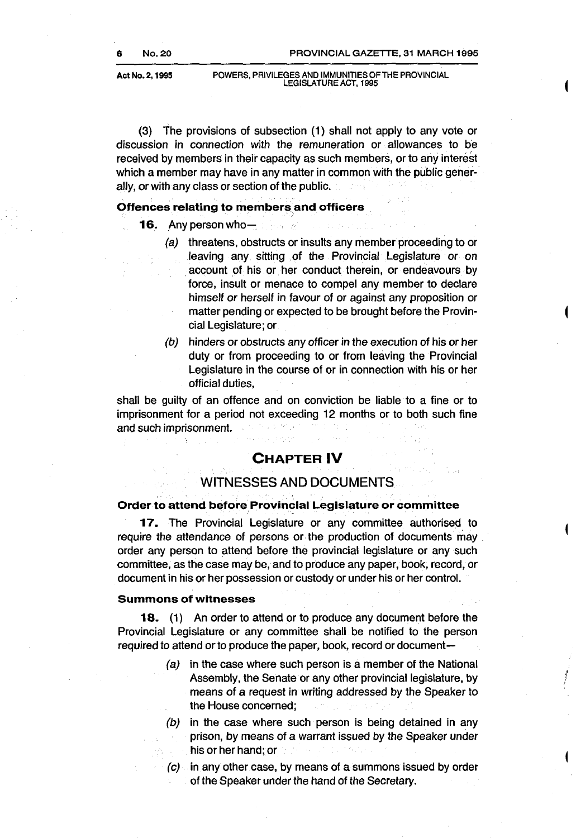(3) The provisions of subsection (1) shall not apply to any vote or discussion in connection with the remuneration or allowances to be received by members in their capacity as such members, or to any interest which a member may have in any matter in common with the public generally, or with any class or section of the public.

#### Offences relating to members and officers

**16.** Any person who-

- (a) threatens, obstructs or insults any member proceeding to or leaving any sitting of the Provincial Legislature or on . account of his or her conduct therein, or endeavours by force, insult or menace to compel any member to declare himself or herself in favour of or against any proposition or matter pending or expected to be brought before the Provincial Legislature; or
- (b) hinders or obstructs any officer in the execution of his or her duty or from proceeding to or from leaving the Provincial Legislature in the course of or in connection with his or her official duties,

shall be guilty of an offence and on conviction be liable to a fine or to imprisonment for a period not exceeding 12 months or to both such fine and such imprisonment.

# CHAPTER IV

# WITNESSES AND DOCUMENTS

#### Order to attend before Provincial Legislature or committee

17. The Provincial Legislature or any committee authorised to require the attendance of persons or the production of documents may order any person to attend before the provincial legislature or any such committee, as the case may be, and to produce any paper, book, record, or document in his or her possession or custody or under his or her control.

#### Summons of witnesses

18. (1) An order to attend or to produce any document before the Provincial Legislature or any committee shall be notified to the person required to attend or to produce the paper, book, record or document-

> (a) in the case where such person is a member of the National Assembly, the Senate or any other provincial legislature, by means of a request in writing addressed by the Speaker to the House concerned;

f '

- (b) in the case where such person is being detained in any prison, by means of a warrant issued by the Speaker under his or her hand; or
- $(c)$  in any other case, by means of a summons issued by order of the Speaker under the hand of the Secretary.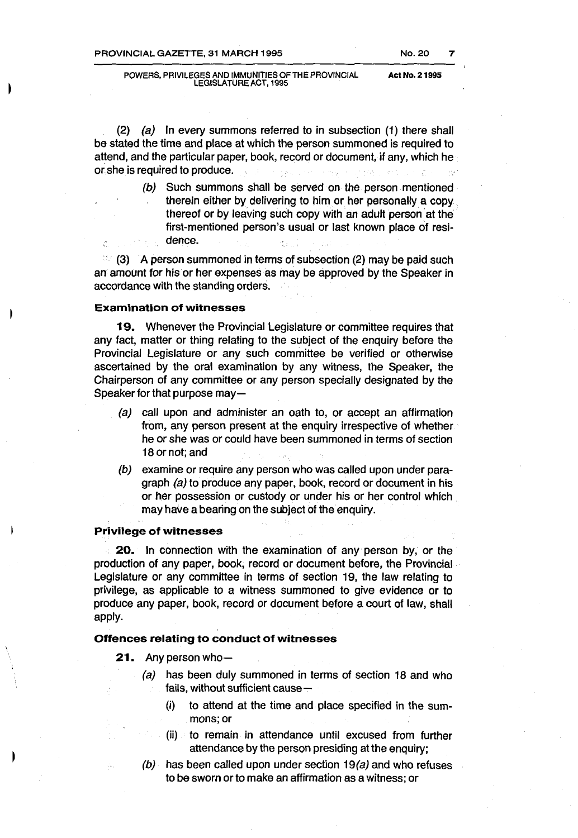#### POWERS, PRIVILEGES AND IMMUNITIES OF THE PROVINCIAL LEGISLATUREACT,1995 Act No.2 1995

(2) (a) In every summons referred to in subsection (1) there shall be stated the time and place at which the person summoned is required to attend, and the particular paper, book, record or document, if any, which he or she is required to produce.

> (b) Such summons shall be served on the person mentioned therein either by delivering to him or her personally a copy. thereof or by leaving such copy with an adult person at the first-mentioned person's usual or last known place of residence.

(3) A person summoned in terms of subsection (2) may be paid such 357 an amount for his or her expenses as may be approved by the Speaker in accordance with the standing orders.

#### **Examination of witnesses**

**19\_** Whenever the Provincial Legislature or committee requires that any fact, matter or thing relating to the subject of the enquiry before the Provincial Legislature or any such committee be verified or otherwise ascertained by the oral examination by any witness, the Speaker, the Chairperson of any committee or any person specially designated by the Speaker for that purpose may-

- (a) call upon and administer an oath to, or accept an affirmation from, any person present at the enquiry irrespective of whether · he or she was or could have been summoned in terms of section 18 or not; and
- (b) examine or require any person who was called upon under paragraph (a) to produce any paper, book, record or document in his or her possession or custody or under his or her control which may have a bearing on the subject of the enquiry.

#### **Privilege of witnesses**

**20\_** In connection with the examination of any person by, or the production of any paper, book, record or document before, the Provincial Legislature or any committee in terms of section 19, the law relating to privilege, as applicable to a witness summoned to give evidence or to produce any paper, book, record or document before a court of law, shall apply.

#### **Offences relating to conduct of witnesses**

**21.** Any person who-

 $\mathcal{L}_{\text{max}}$ 

- (a) has been duly summoned in terms of section 18 and who fails, without sufficient cause $-$ 
	- (i) to attend at the time and place specified in the summons; or
	- (ii) to remain in attendance until excused from further attendance by the person presiding at the enquiry;
- (b) has been called upon under section  $19(a)$  and who refuses to be sworn or to make an affirmation as a witness; or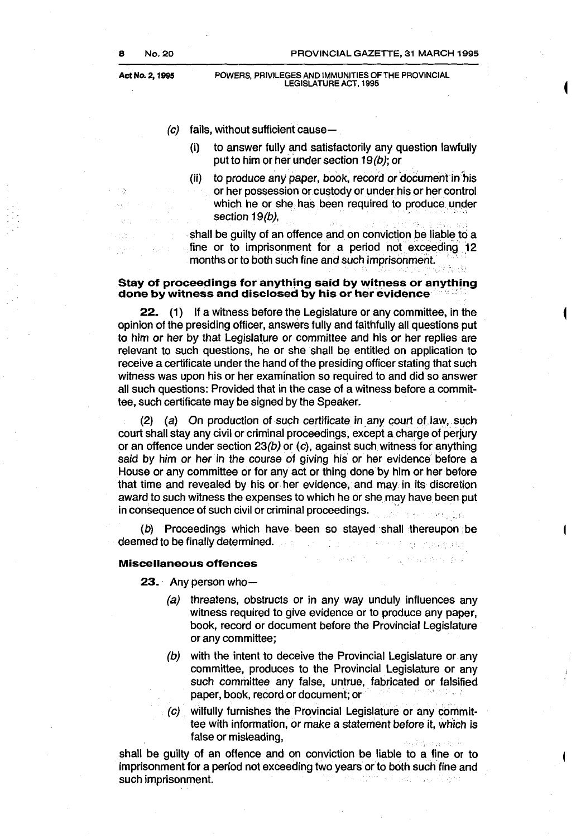- $(c)$  fails, without sufficient cause -
	- (i) to answer fully and satisfactorily any question lawfully put to him or her under section 19(b); or
	- (ii) to produce any paper, book, record or documentin'his or her possession or custody or under his or her control which he or she has been required to produce under section  $19(b)$ ,

shall be guilty of an offence and on conviction be liable to a fine or to imprisonment for a period not exceeding 12 months or to both such fine and such imprisonment.

#### **Stay of proceedings for anything said by witness or anything**  done by witness and disclosed by his or her evidence

**22. (1)** If a witness before the Legislature or any committee, in the opinion of the presiding officer, answers fully and faithfully all questions put to him or her by that Legislature or committee and his or her replies are relevant to such questions, he or she shall be entitled on application to receive a certificate under the hand of the presiding officer stating that such witness was upon his or her examination so required to and did so answer all such questions: Provided that in the case of a witness before a committee, such certificate may be signed by the Speaker.

(2) (a) On production of such certificate in any court ot.Jaw, such court shall stay any civil or criminal proceedings, except a charge of perjury or an offence under section  $23(b)$  or (c), against such witness for anything said by him or her in the course of giving his or her evidence before a House or any committee or for any act or thing done by him or her before that time and revealed by his or her evidence, and may in its discretion award to such witness the expenses to which he or she may have been put in consequence of such civil or criminal proceedings. A.g.

(b) Proceedings which have been so stayed shall thereupon be deemed to be finally determined. The contract of the contract probabilities

#### **Miscellaneous offences**

**23.** Any person who-

 $(a)$  threatens, obstructs or in any way unduly influences any witness required to give evidence or to produce any paper, book, record or document before the Provincial Legislature or any committee;

大家的 医三叶油

which is a continue

- (b) with the intent to deceive the Provincial Legislature or any committee, produces to the Provincial Legislature or any such committee any false, untrue, fabricated or falsified paper, book, record or document; or
- (c) wilfully furnishes the Provincial Legislature or any committee with information, or make a statement before it, which is false or misleading,

shall be guilty of an offence and on conviction be liable to a fine or to imprisonment for a period not exceeding two years or to both such fine and such imprisonment.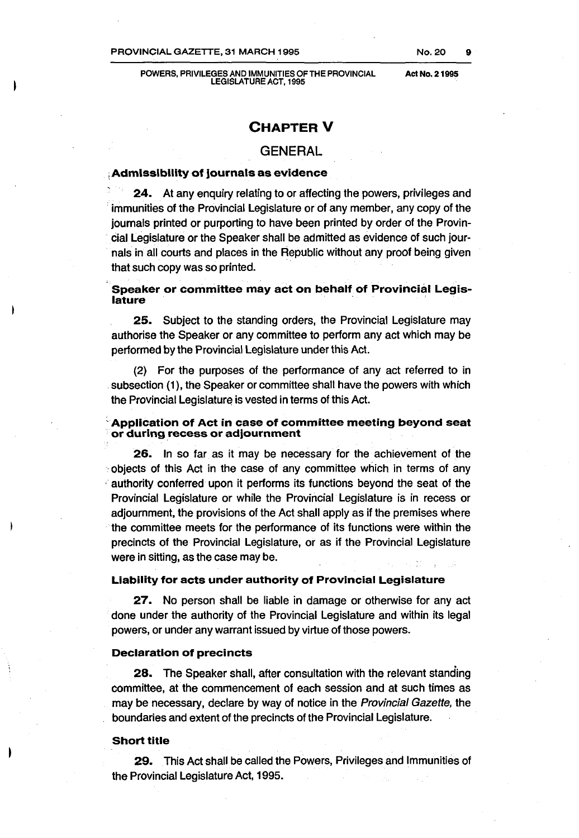# POWERS, PRIVILEGES AND IMMUNITIES OF THE PROVINCIAL LEGISLATURE ACT, 1995

Act No.2 1995

# **CHAPTER V**

# **GENERAL**

# : Admissibility of journals as evidence

24. At any enquiry relating to or affecting the powers, privileges and • immunities of the Provincial Legislature or of any member, any copy of the journals printed or purporting to have been printed by order of the Provin- . cial Legislature or the Speaker shall be admitted as evidence of such journals in all courts and places in the Republic without any proof being given that such copy was so printed.

# Speaker or committee may act on behalf of Provincial Legislature and the contract of the contract of the contract of the contract of the contract of the contract of the

25. Subject to the standing orders, the Provincial Legislature may authorise the Speaker or any committee to perform any act which may be performed by the Provincial Legislature under this Act.

(2) For the purposes of the performance of any act referred to in subsection (1), the Speaker or committee shall have the powers with which the Provincial Legislature is vested in terms of this Act.

# Application of Act in case of committee meeting beyond seat or during recess or adjournment

26. In so far as it may be necessary for the achievement of the ·· objects of this Act in the case of any committee which in terms of any · authority conferred upon it performs its functions beyond the seat of the Provincial Legislature or while the Provincial Legislature is in recess or adjournment, the provisions of the Act shall apply as if the premises where the committee meets for the performance of its functions were within the precincts of the Provincial Legislature, or as if the Provincial Legislature were in sitting, as the case may be.

#### Liability for acts under authority of Provincial Legislature

27. No person shall be liable in damage or otherwise for any act done under the authority of the Provincial Legislature and within its legal powers, or under any warrant issued by virtue of those powers.

#### Declaration of precincts

28. The Speaker shall, after consultation with the relevant standing committee, at the commencement of each session and at such times as may be necessary, declare by way of notice in the Provincial Gazette, the boundaries and extent of the precincts of the Provincial Legislature.

#### Short title

29. This Act shall be called the Powers, Privileges and Immunities of the Provincial Legislature Act, 1995.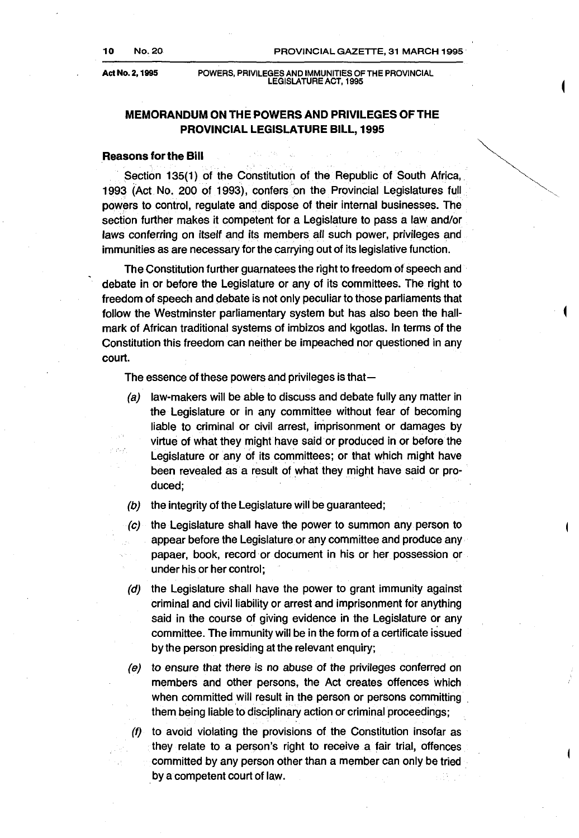Act No. 2, 1995 POWERS, PRIVILEGES AND IMMUNITIES OF THE PROVINCIAL LEGISLATURE ACT, 1995

# **MEMORANDUM ON THE POWERS AND PRIVILEGES OF THE PROVINCIAL LEGISLATURE BILL, 1995**

#### **Reasons for the Bill**

Section 135(1) of the Constitution of the Republic of South Africa, 1993 (Act No. 200 of 1993), confers on the Provincial Legislatures full powers to control, regulate and dispose of their internal businesses. The section further makes it competent for a Legislature to pass a law and/or laws conferring on itself and its members all such power, privileges and immunities as are necessary for the carrying out of its legislative function.

The Constitution further guarnatees the right to freedom of speech and debate in or before the Legislature or any of its committees. The right to freedom of speech and debate is not only peculiar to those parliaments that follow the Westminster parliamentary system but has also been the hallmark of African traditional systems of imbizos and kgotlas. In terms of the Constitution this freedom can neither be impeached nor questioned in any court.

The essence of these powers and privileges is that-

- (a) law-makers will be able to discuss and debate fully any matter in the Legislature or in any committee without fear of becoming liable to criminal or civil arrest, imprisonment or damages by virtue of what they might have said or produced in or before the Legislature or any of its committees; or that which might have been revealed as a result of what they might have said or produced;
- (b) the integrity of the Legislature will be guaranteed;
- $(c)$  the Legislature shall have the power to summon any person to appear before the Legislature or any committee and produce any papaer, book, record or document in his or her possession or under his or her control;
- (d) the Legislature shall have the power to grant immunity against criminal and civil liability or arrest and imprisonment for anything said in the course of giving evidence in the Legislature or any committee. The immunity will be in the form of a certificate issued by the person presiding at the relevant enquiry;
- (e) to ensure that there is no abuse of the privileges conferred on members and other persons, the Act creates offences which when committed will result in the person or persons committing them being liable to disciplinary action or criminal proceedings;
- (f) to avoid violating the provisions of the Constitution insofar as they relate to a person's right to receive a fair trial, offences committed by any person other than a member can only be tried . by a competent court of law.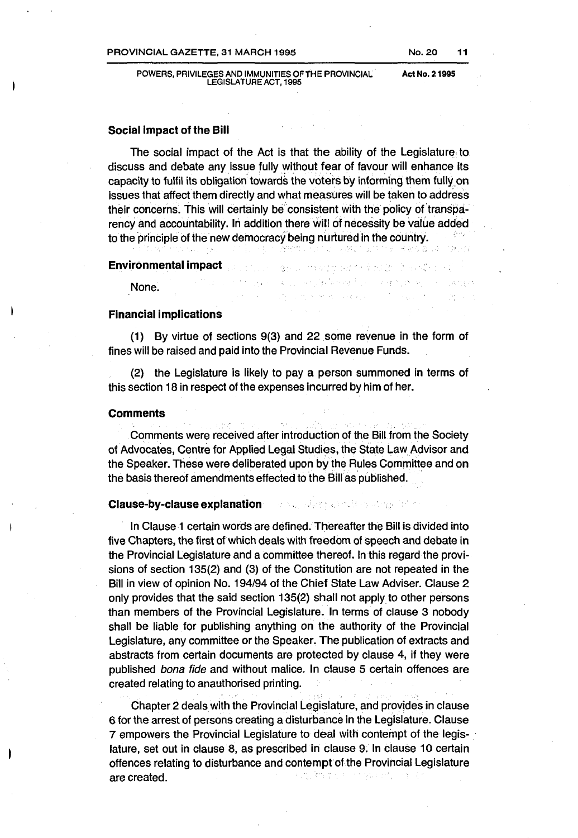.·' I

计编程数据 网络加速 医海绵的 经

as Alberta Company & **Contractor** 

# POWERS, PRIVILEGES AND IMMUNITIES OF THE PROVINCIAL LEGISLATURE ACT, 1995

Act No. 2 1995

#### **Social Impact of the Bill**

The social impact of the Act is that the ability of the Legislature. to discuss and debate any issue fully without fear of favour will enhance its capacity to fulfil its obligation towards the voters by informing them fully on issues that affect them directly and what measures will be taken to address their concerns. This will certainly be consistent with the policy of transparency and accountability. In addition there will of necessity be value added to the principle of the new democracy being nurtured in the country.

488200

#### **Environmental impact**

None.

#### **Financial implications**

**(1)** By virtue of sections 9(3) and 22 some revenue in the form of fines will be raised and paid into the Provincial Revenue Funds.

(2) the Legislature is likely to pay a person summoned in terms of this section 18 in respect of the expenses incurred by him of her.

#### **Comments**

Comments were received after introduction of the Bill from the Society of Advocates, Centre for Applied Legal Studies, the State Law Advisor and the Speaker. These were deliberated upon by the Rules Committee and on the basis thereof amendments effected to the Bill as published. ·

#### **Clause-by-clause explanation**  The Succession Control of the Control Con-

In Clause 1 certain words are defined. Thereafter the Bill is divided into five Chapters, the first of which dealswith freedom of speech and debate in the Provincial Legislature and a committee thereof. In this regard the provisions of section 135(2) and (3) of the Constitution are not repeated in the Bill in view of opinion No. 194/94 of the Chief State Law Adviser. Clause 2 only provides that the said section 135(2) shall not apply to other persons than members of the Provincial Legislature. In terms of clause 3 nobody shall be liable for publishing anything on the authority of the Provincial Legislature, any committee or the Speaker. The publication of extracts and abstracts from certain documents are protected by clause 4, if they were published bona fide and without malice. In clause 5 certain offences are created relating to anauthorised printing.

Chapter 2 deals with the Provincial Legislature, and provides in clause 6 for the arrest of persons creating a disturbance in the Legislature. Clause 7 empowers the Provincial Legislature to deal with contempt of the legis- · lature, set out in clause 8, as prescribed in clause 9. In clause 10 certain offences relating to disturbance and contempt of the Provincial Legislature 机能使放射器 化加速解除剂 are created.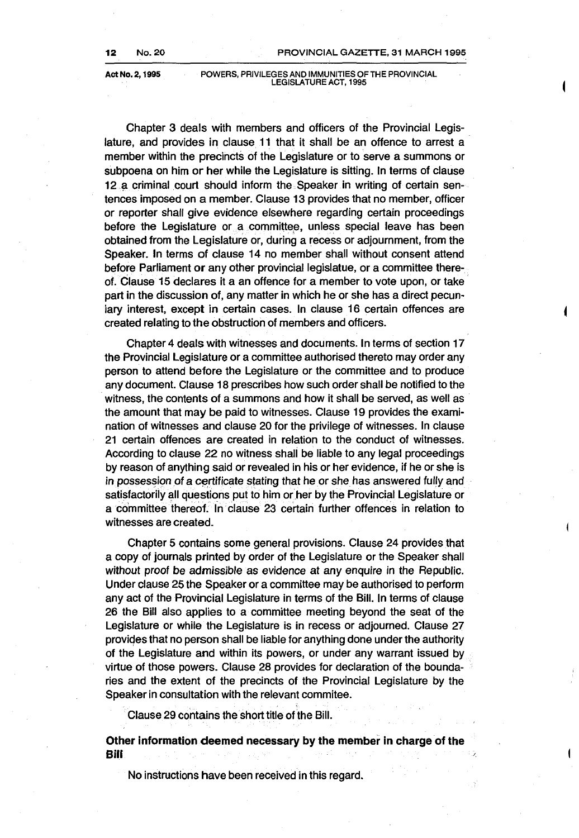#### Act No. 2, 1995 POWERS, PRIVILEGES AND IMMUNITIES OF THE PROVINCIAL LEGISLATURE ACT, 1995

Chapter 3 deals with members and officers of the Provincial Legis- . lature, and provides in clause 11 that it shall be an offence to arrest a member within the precincts of the Legislature or to serve a summons or subpoena on him or her while the Legislature is sitting. In terms of clause 12 a criminal court should inform the Speaker in writing of certain sentences imposed on a member. Clause 13 provides that no member, officer or reporter shall give evidence elsewhere regarding certain proceedings before the Legislature or a committee, unless special leave has been obtained from the Legislature or, during a recess or adjournment, from the Speaker. In terms of clause 14 no member shall without consent attend before Parliament or any other provincial legislatue, or a committee thereof. Clause 15 declares it a an offence for a member to vote upon, or take part in the discussion of, any matter in which he or she has a direct pecuniary interest, except in certain cases. In clause 16 certain offences are created relating to the obstruction of members and officers.

Chapter 4 deals with witnesses and documents. In terms of section 17 the Provincial Legislature or a committee authorised thereto may order any person to attend before the Legislature or the committee and to produce any document. Clause 18 prescribes how such order shall be notified to the witness, the contents of a summons and how it shall be served, as well as the amount that may be paid to witnesses. Clause 19 provides the examination of witnesses and clause 20 for the privilege of witnesses. In clause 21 certain offences are created in relation to the conduct of witnesses. According to clause 22 no witness shali be liable to any legal proceedings by reason of anything said or revealed in his or her evidence, if he or she is in possession of a certificate stating that he or she has answered fully and satisfactorily all questions put to him or her by the Provincial Legislature or a committee thereof. In clause 23 certain further offences in relation to witnesses are created.

Chapter 5 contains some general provisions. Clause 24 provides that a copy of journals printed by order of the Legislature or the Speaker shall without proof be admissible as evidence at any enquire in the Republic. Under clause 25 the Speaker or a committee may be authorised to perform any act of the Provincial Legislature in terms of the Bill. In terms of clause 26 the Bill also applies to a committee meeting beyond the seat of the Legislature or while the Legislature is in recess or adjourned. Clause 27 proviqes that no person shall be liable for anything done under the authority of the Legislature and within its powers, or under any warrant issued by virtue of those powers. Clause 28 provides for declaration of the boundaries and the extent of the precincts of the Provincial Legislature by the Speaker in consultation with the relevant commitee.

Clause 29 contains the short title of the Bill.

Other information deemed necessary by the member in charge of the Bill

No instructions have been received in this regard.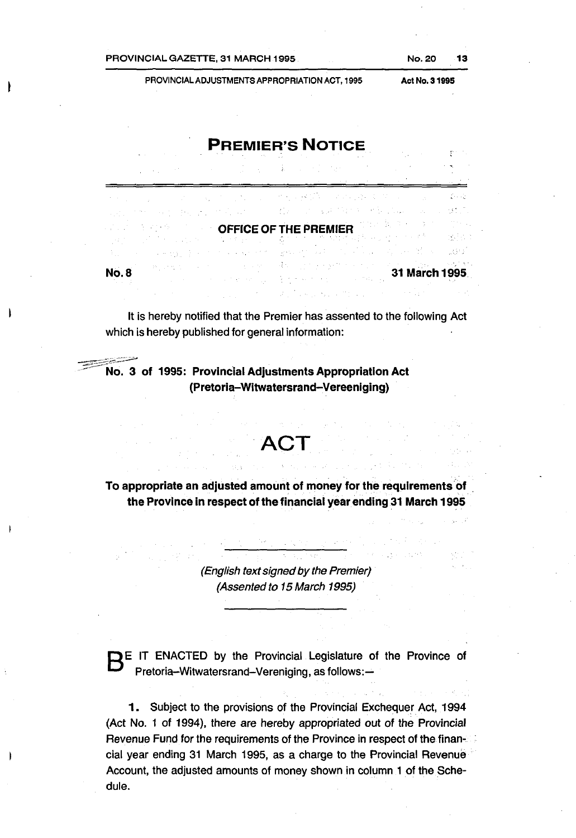PROVINCIAL GAZETTE, 31 MARCH 1995 No.20 **13** 

~~~::;::;~

I

PROVINCIAL ADJUSTMENTS APPROPRIATION ACT, 1995 Act No. 3 1995

**PREMIER'S NOTICE** 

 $\mathcal{L}_{\text{max}} \sim \mathcal{L}_{\text{max}}^{2}$ G. **第14回 電子部 OFFICE OF THE PREMIER No.8 31 March 1995** 

It is hereby notified that the Premier has assented to the following Act which is hereby published for general information:

No. 3 of 1995: Provincial Adjustments Appropriation Act **(Pretoria-Witwatersrand-Vereeniging)** 

**·ACT** 

**To appropriate an adjusted amount of money for the requirements of** . the Province in respect of the financial year ending 31 March 1995

> (English text signed by the Premier) (Assented to 15March 1995}

**8** E IT ENACTED by the Provincial Legislature of the Province of Pretoria-Witwatersrand-Vereniging, as follows:-

**1.** Subject to the provisions of the Provincial Exchequer Act, 1994 (Act No. 1 of 1994), there are hereby appropriated out of the Provincial Revenue Fund for the requirements of the Province in respect of the financial year ending 31 March 1995, as a charge to the Provincial Revenue Account, the adjusted amounts of money shown in column 1 of the Schedule.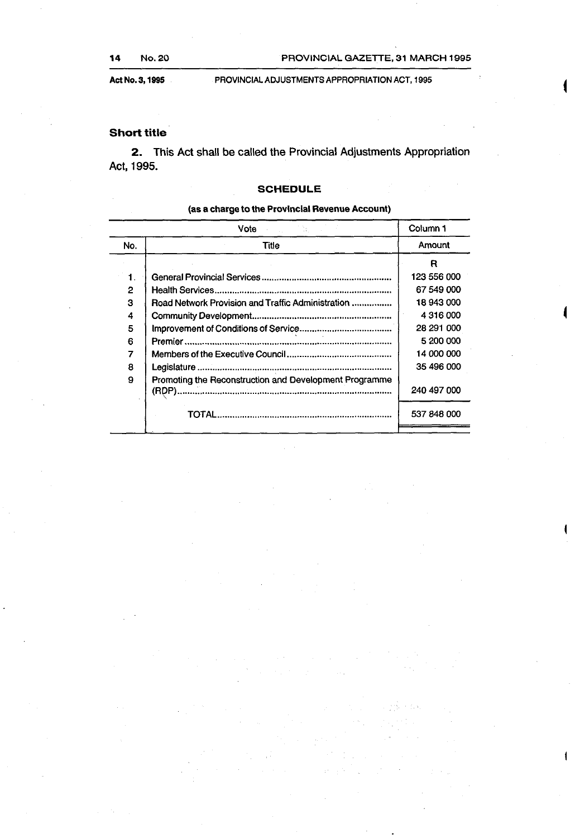**14** No.20 PROVINCIAL GAZETTE, 31 MARCH 1995

Act No. 3, 1995 PROVINCIAL ADJUSTMENTS APPROPRIATION ACT, 1995

# **Short title**

**2.** This Act shall be called the Provincial Adjustments Appropriation Act, 1995.

#### **SCHEDULE**

# (as a charge to the Provincial Revenue Account)

|     | <b>Vote <i>Motor State Contract of State Contract</i></b> | Column 1    |
|-----|-----------------------------------------------------------|-------------|
| No. | Title                                                     | Amount      |
|     |                                                           | R           |
| 1.  |                                                           | 123 556 000 |
| 2   |                                                           | 67 549 000  |
| з   | Road Network Provision and Traffic Administration         | 18 943 000  |
| 4   |                                                           | 4 316 000   |
| 5   |                                                           | 28 291 000  |
| 6   |                                                           | 5 200 000   |
| 7   |                                                           | 14 000 000  |
| 8   |                                                           | 35 496 000  |
| 9   | Promoting the Reconstruction and Development Programme    | 240 497 000 |
|     |                                                           | 537 848 000 |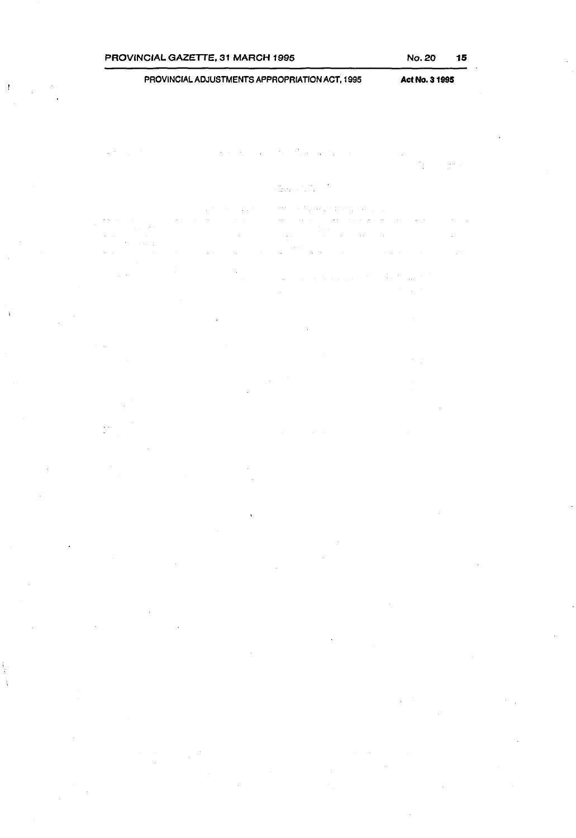# PROVINCIAL ADJUSTMENTS APPROPRIATION ACT, 1995 Act No. 31995

 $\alpha = \alpha_{1}^{2}$  , and  $\alpha_{2}^{2}$  $\Delta \sim 10^{11}$  km s  $^{-1}$  .  $\Delta \sim 10^{11}$  $\sum_{i=1}^n\alpha_i$ 

# .<br>Pagkalana (P

 $\label{eq:1} \left\langle \frac{\partial \phi}{\partial t} \right\rangle = \left\langle \phi \right\rangle_{\rm{L}}^2 \left\langle \Delta T_{\rm{L}} \right\rangle + \left\langle \frac{\partial}{\partial t} \right\rangle_{\rm{L}}^2 \left\langle \phi \right\rangle_{\rm{L}} \left\langle \phi \right\rangle_{\rm{L}}^2 \left\langle \phi \right\rangle_{\rm{L}}^2.$ المعادل المعادل المستقيم المعادل الجهر المعادل المعادل المجهز  $\sim 80\%$  .  $\mathcal{L}=\frac{1}{2} \sum_{i=1}^{n} \frac{1}{2} \sum_{j=1}^{n} \frac{1}{2} \sum_{j=1}^{n} \frac{1}{2} \sum_{j=1}^{n} \frac{1}{2} \sum_{j=1}^{n} \frac{1}{2} \sum_{j=1}^{n} \frac{1}{2} \sum_{j=1}^{n} \frac{1}{2} \sum_{j=1}^{n} \frac{1}{2} \sum_{j=1}^{n} \frac{1}{2} \sum_{j=1}^{n} \frac{1}{2} \sum_{j=1}^{n} \frac{1}{2} \sum_{j=1}^{n} \frac{1}{2} \sum_{$  $\label{eq:2.1} \frac{1}{2}\sum_{i=1}^n\frac{1}{2}\left(\frac{1}{2}\sum_{i=1}^n\frac{1}{2}\sum_{i=1}^n\frac{1}{2}\sum_{i=1}^n\frac{1}{2}\sum_{i=1}^n\frac{1}{2}\sum_{i=1}^n\frac{1}{2}\sum_{i=1}^n\frac{1}{2}\sum_{i=1}^n\frac{1}{2}\sum_{i=1}^n\frac{1}{2}\sum_{i=1}^n\frac{1}{2}\sum_{i=1}^n\frac{1}{2}\sum_{i=1}^n\frac{1}{2}\sum_{i=1}^n\frac{1}{2}\sum$  $\sim 10$ 

 $\mathcal{L}_{\text{max}}$  , which is a set of the set of the set of the set of the  $\mathcal{L}_{\text{max}}$ 

 $\omega_{\rm{max}}$